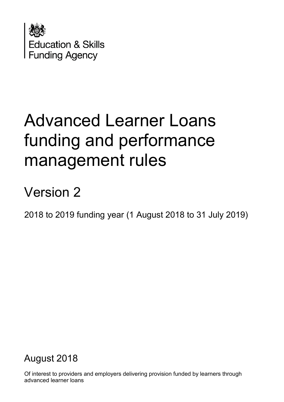

# Advanced Learner Loans funding and performance management rules

# Version 2

2018 to 2019 funding year (1 August 2018 to 31 July 2019)

# August 2018

Of interest to providers and employers delivering provision funded by learners through advanced learner loans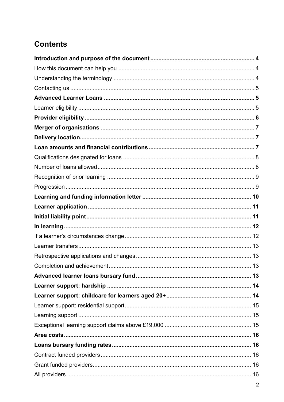## **Contents**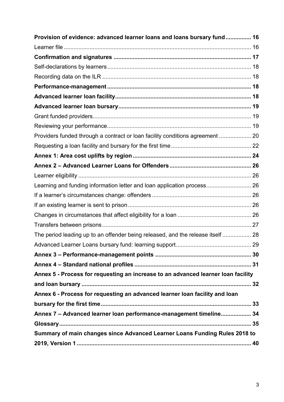| Provision of evidence: advanced learner loans and loans bursary fund 16           |  |
|-----------------------------------------------------------------------------------|--|
|                                                                                   |  |
|                                                                                   |  |
|                                                                                   |  |
|                                                                                   |  |
|                                                                                   |  |
|                                                                                   |  |
|                                                                                   |  |
|                                                                                   |  |
|                                                                                   |  |
| Providers funded through a contract or loan facility conditions agreement  20     |  |
|                                                                                   |  |
|                                                                                   |  |
|                                                                                   |  |
|                                                                                   |  |
| Learning and funding information letter and loan application process 26           |  |
|                                                                                   |  |
|                                                                                   |  |
|                                                                                   |  |
|                                                                                   |  |
| The period leading up to an offender being released, and the release itself  28   |  |
|                                                                                   |  |
|                                                                                   |  |
|                                                                                   |  |
| Annex 5 - Process for requesting an increase to an advanced learner loan facility |  |
|                                                                                   |  |
| Annex 6 - Process for requesting an advanced learner loan facility and loan       |  |
|                                                                                   |  |
| Annex 7 - Advanced learner loan performance-management timeline 34                |  |
|                                                                                   |  |
| Summary of main changes since Advanced Learner Loans Funding Rules 2018 to        |  |
|                                                                                   |  |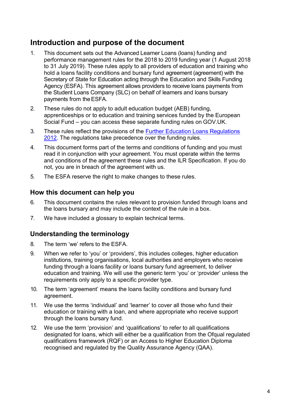## <span id="page-3-0"></span>**Introduction and purpose of the document**

- 1. This document sets out the Advanced Learner Loans (loans) funding and performance management rules for the 2018 to 2019 funding year (1 August 2018 to 31 July 2019). These rules apply to all providers of education and training who hold a loans facility conditions and bursary fund agreement (agreement) with the Secretary of State for Education acting through the Education and Skills Funding Agency (ESFA). This agreement allows providers to receive loans payments from the Student Loans Company (SLC) on behalf of learners and loans bursary payments from theESFA.
- 2. These rules do not apply to adult education budget (AEB) funding, apprenticeships or to education and training services funded by the European Social Fund – you can access these separate funding rules on GOV.UK.
- 3. These rules reflect the provisions of the [Further Education Loans Regulations](http://www.legislation.gov.uk/uksi/2012/1818/contents/made) [2012.](http://www.legislation.gov.uk/uksi/2012/1818/contents/made) The regulations take precedence over the funding rules.
- 4. This document forms part of the terms and conditions of funding and you must read it in conjunction with your agreement. You must operate within the terms and conditions of the agreement these rules and the ILR Specification. If you do not, you are in breach of the agreement with us.
- 5. The ESFA reserve the right to make changes to these rules.

#### <span id="page-3-1"></span>**How this document can help you**

- 6. This document contains the rules relevant to provision funded through loans and the loans bursary and may include the context of the rule in a box.
- 7. We have included a glossary to explain technical terms.

#### <span id="page-3-2"></span>**Understanding the terminology**

- 8. The term 'we' refers to the ESFA.
- 9. When we refer to 'you' or 'providers', this includes colleges, higher education institutions, training organisations, local authorities and employers who receive funding through a loans facility or loans bursary fund agreement, to deliver education and training. We will use the generic term 'you' or 'provider' unless the requirements only apply to a specific provider type.
- 10. The term 'agreement' means the loans facility conditions and bursary fund agreement.
- 11. We use the terms 'individual' and 'learner' to cover all those who fund their education or training with a loan, and where appropriate who receive support through the loans bursary fund.
- 12. We use the term 'provision' and 'qualifications' to refer to all qualifications designated for loans, which will either be a qualification from the Ofqual regulated qualifications framework (RQF) or an Access to Higher Education Diploma recognised and regulated by the Quality Assurance Agency (QAA).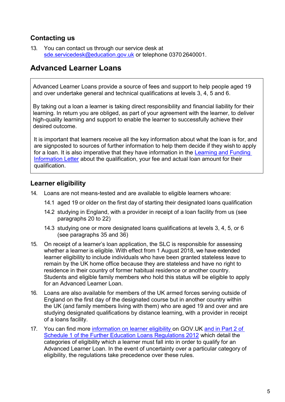#### <span id="page-4-0"></span>**Contacting us**

13. You can contact us through our service desk a[t](mailto:sde.servicedesk@education.gov.uk) [sde.servicedesk@education.gov.uk](mailto:sde.servicedesk@education.gov.uk) or telephone 0370 2640001.

### <span id="page-4-1"></span>**Advanced Learner Loans**

Advanced Learner Loans provide a source of fees and support to help people aged 19 and over undertake general and technical qualifications at levels 3, 4, 5 and 6.

By taking out a loan a learner is taking direct responsibility and financial liability for their learning. In return you are obliged, as part of your agreement with the learner, to deliver high-quality learning and support to enable the learner to successfully achieve their desired outcome.

It is important that learners receive all the key information about what the loan is for, and are signposted to sources of further information to help them decide if they wish to apply for a loan. It is also imperative that they have information in the [Learning and Funding](https://www.gov.uk/government/publications/24-advanced-learning-loans-funding-information-letter-templates)  [Information Letter](https://www.gov.uk/government/publications/24-advanced-learning-loans-funding-information-letter-templates) about the qualification, your fee and actual loan amount for their qualification.

#### <span id="page-4-2"></span>**Learner eligibility**

- 14. Loans are not means-tested and are available to eligible learners whoare:
	- 14.1 aged 19 or older on the first day of starting their designated loans qualification
	- 14.2 studying in England, with a provider in receipt of a loan facility from us (see paragraphs 20 to 22)
	- 14.3 studying one or more designated loans qualifications at levels 3, 4, 5, or 6 (see paragraphs 35 and 36)
- 15. On receipt of a learner's loan application, the SLC is responsible for assessing whether a learner is eligible. With effect from 1 August 2018, we have extended learner eligibility to include individuals who have been granted stateless leave to remain by the UK home office because they are stateless and have no right to residence in their country of former habitual residence or another country. Students and eligible family members who hold this status will be eligible to apply for an Advanced Learner Loan.
- 16. Loans are also available for members of the UK armed forces serving outside of England on the first day of the designated course but in another country within the UK (and family members living with them) who are aged 19 and over and are studying designated qualifications by distance learning, with a provider in receipt of a loans facility.
- 17. You can find more [information on learner eligibility](https://www.gov.uk/advanced-learner-loan/overview) on GOV.UK [and in Part 2 of](http://www.legislation.gov.uk/uksi/2012/1818/contents/made) [Schedule 1 of the Further Education Loans Regulations 2012](http://www.legislation.gov.uk/uksi/2012/1818/contents/made) which detail the categories of eligibility which a learner must fall into in order to qualify for an Advanced Learner Loan. In the event of uncertainty over a particular category of eligibility, the regulations take precedence over these rules.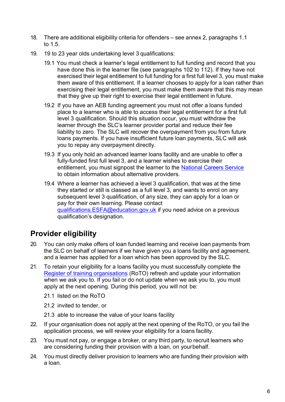- 18. There are additional eligibility criteria for offenders see annex 2, paragraphs 1.1 to 1.5.
- 19. 19 to 23 year olds undertaking level 3 qualifications:
	- 19.1 You must check a learner's legal entitlement to full funding and record that you have done this in the learner file (see paragraphs 102 to 112). If they have not exercised their legal entitlement to full funding for a first full level 3, you must make them aware of this entitlement. If a learner chooses to apply for a loan rather than exercising their legal entitlement, you must make them aware that this may mean that they give up their right to exercise their legal entitlement in future.
	- 19.2 If you have an AEB funding agreement you must not offer a loans funded place to a learner who is able to access their legal entitlement for a first full level 3 qualification. Should this situation occur, you must withdraw the learner through the SLC's learner provider portal and reduce their fee liability to zero. The SLC will recover the overpayment from you from future loans payments. If you have insufficient future loan payments, SLC will ask you to repay any overpayment directly.
	- 19.3 If you only hold an advanced learner loans facility and are unable to offer a fully-funded first full level 3, and a learner wishes to exercise their entitlement, you must signpost the learner to the [National Careers Service](https://nationalcareersservice.direct.gov.uk/) to obtain information about alternative providers.
	- 19.4 Where a learner has achieved a level 3 qualification, that was at the time they started or still is classed as a full level 3, and wants to enrol on any subsequent level 3 qualification, of any size, they can apply for a loan or pay for their own learning. Please contact gualifications.ESFA@education.gov.uk if you need advice on a previous qualification's designation.

## <span id="page-5-0"></span>**Provider eligibility**

- 20. You can only make offers of loan funded learning and receive loan payments from the SLC on behalf of learners if we have given you a loans facility and agreement, and a learner has applied for a loan which has been approved by the SLC.
- 21. To retain your eligibility for a loans facility you must successfully complete th[e](https://www.gov.uk/government/collections/sfa-register-of-training-organisations) Register of training [organisations](https://www.gov.uk/government/collections/sfa-register-of-training-organisations) (RoTO) refresh and update your information when we ask you to. If you fail or do not update when we ask you to, you must apply at the next opening. During this period, you will not be:
	- 21.1 listed on the RoTO
	- 21.2 invited to tender, or
	- 21.3 able to increase the value of your loans facility
- 22. If your organisation does not apply at the next opening of the RoTO, or you fail the application process, we will review your eligibility for a loans facility.
- 23. You must not pay, or engage a broker, or any third party, to recruit learners who are considering funding their provision with a loan, on yourbehalf.
- 24. You must directly deliver provision to learners who are funding their provision with a loan.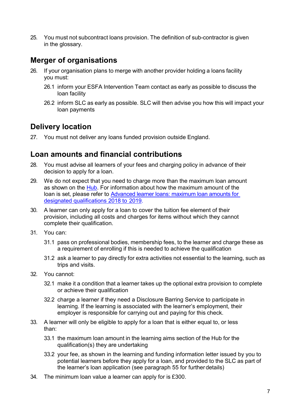25. You must not subcontract loans provision. The definition of sub-contractor is given in the glossary.

## <span id="page-6-0"></span>**Merger of organisations**

- 26. If your organisation plans to merge with another provider holding a loans facility you must:
	- 26.1 inform your ESFA Intervention Team contact as early as possible to discuss the loan facility
	- 26.2 inform SLC as early as possible. SLC will then advise you how this will impact your loan payments

## <span id="page-6-1"></span>**Delivery location**

27. You must not deliver any loans funded provision outside England.

## <span id="page-6-2"></span>**Loan amounts and financial contributions**

- 28. You must advise all learners of your fees and charging policy in advance of their decision to apply for a loan.
- 29. We do not expect that you need to charge more than the maximum loan amount as shown on the [Hub.](https://hub.fasst.org.uk/Pages/default.aspx) For information about how the maximum amount of the loan is set, please refer to [Advanced learner loans: maximum loan amounts for](https://www.gov.uk/government/publications/maximum-loan-amounts-for-advanced-learner-loans-designated-qualifications-2018-to-2019) [designated qualifications 2018 to](https://www.gov.uk/government/publications/maximum-loan-amounts-for-advanced-learner-loans-designated-qualifications-2018-to-2019) 2019.
- 30. A learner can only apply for a loan to cover the tuition fee element of their provision, including all costs and charges for items without which they cannot complete their qualification.
- 31. You can:
	- 31.1 pass on professional bodies, membership fees, to the learner and charge these as a requirement of enrolling if this is needed to achieve the qualification
	- 31.2 ask a learner to pay directly for extra activities not essential to the learning, such as trips and visits.
- 32. You cannot:
	- 32.1 make it a condition that a learner takes up the optional extra provision to complete or achieve their qualification
	- 32.2 charge a learner if they need a Disclosure Barring Service to participate in learning. If the learning is associated with the learner's employment, their employer is responsible for carrying out and paying for this check.
- 33. A learner will only be eligible to apply for a loan that is either equal to, or less than:
	- 33.1 the maximum loan amount in the learning aims section of the [Hub](https://hub.fasst.org.uk/Pages/default.aspx) for the qualification(s) they are undertaking
	- 33.2 your fee, as shown in the learning and funding information letter issued by you to potential learners before they apply for a loan, and provided to the SLC as part of the learner's loan application (see paragraph 55 for furtherdetails)
- 34. The minimum loan value a learner can apply for is £300.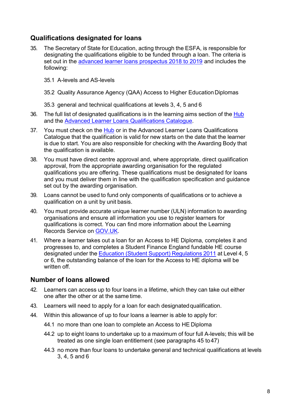#### <span id="page-7-0"></span>**Qualifications designated for loans**

- 35. The Secretary of State for Education, acting through the ESFA, is responsible for designating the qualifications eligible to be funded through a loan. The criteria is set out in the [advanced learner loans prospectus 2018 to 2019](https://www.gov.uk/government/publications/designating-qualifications-for-advanced-learner-loans) and includes the following:
	- 35.1 A-levels and AS-levels
	- 35.2 Quality Assurance Agency (QAA) Access to Higher Education Diplomas
	- 35.3 general and technical qualifications at levels 3, 4, 5 and 6
- 36. The full list of designated qualifications is in the learning aims section of the [Hub](https://hub.fasst.org.uk/Pages/default.aspx) and the [Advanced Learner Loans Qualifications](https://www.gov.uk/government/publications/advanced-learner-loans-qualifications-catalogue) Catalogue.
- 37. You must check on the [Hub](https://hub.fasst.org.uk/Pages/default.aspx) or in the Advanced Learner Loans Qualifications Catalogue that the qualification is valid for new starts on the date that the learner is due to start. You are also responsible for checking with the Awarding Body that the qualification is available.
- 38. You must have direct centre approval and, where appropriate, direct qualification approval, from the appropriate awarding organisation for the regulated qualifications you are offering. These qualifications must be designated for loans and you must deliver them in line with the qualification specification and guidance set out by the awarding organisation.
- 39. Loans cannot be used to fund only components of qualifications or to achieve a qualification on a unit by unit basis.
- 40. You must provide accurate unique learner number (ULN) information to awarding organisations and ensure all information you use to register learners for qualifications is correct. You can find more information about the Learning Records Service on [GOV.UK.](https://www.gov.uk/topic/further-education-skills/learning-records-service)
- 41. Where a learner takes out a loan for an Access to HE Diploma, completes it and progresses to, and completes a Student Finance England fundable HE course designated under the Education (Student Support) [Regulations](http://www.legislation.gov.uk/uksi/2011/1986/contents/made) 2011 at Level 4, 5 or 6, the outstanding balance of the loan for the Access to HE diploma will be written off.

#### <span id="page-7-1"></span>**Number of loans allowed**

- 42. Learners can access up to four loans in a lifetime, which they can take out either one after the other or at the same time.
- 43. Learners will need to apply for a loan for each designatedqualification.
- 44. Within this allowance of up to four loans a learner is able to apply for:
	- 44.1 no more than one loan to complete an Access to HE Diploma
	- 44.2 up to eight loans to undertake up to a maximum of four full A-levels; this will be treated as one single loan entitlement (see paragraphs 45 to47)
	- 44.3 no more than four loans to undertake general and technical qualifications at levels 3, 4, 5 and 6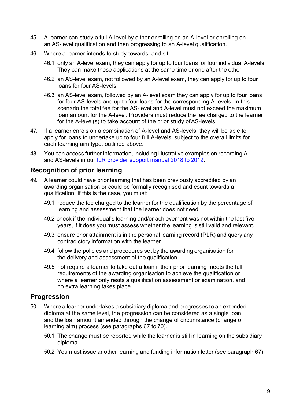- 45. A learner can study a full A-level by either enrolling on an A-level or enrolling on an AS-level qualification and then progressing to an A-level qualification.
- 46. Where a learner intends to study towards, and sit:
	- 46.1 only an A-level exam, they can apply for up to four loans for four individual A-levels. They can make these applications at the same time or one after the other
	- 46.2 an AS-level exam, not followed by an A-level exam, they can apply for up to four loans for four AS-levels
	- 46.3 an AS-level exam, followed by an A-level exam they can apply for up to four loans for four AS-levels and up to four loans for the corresponding A-levels. In this scenario the total fee for the AS-level and A-level must not exceed the maximum loan amount for the A-level. Providers must reduce the fee charged to the learner for the A-level(s) to take account of the prior study ofAS-levels
- 47. If a learner enrols on a combination of A-level and AS-levels, they will be able to apply for loans to undertake up to four full A-levels, subject to the overall limits for each learning aim type, outlined above.
- 48. You can access further information, including illustrative examples on recording A and AS-levels in our [ILR provider support manual 2018 to](https://www.gov.uk/government/collections/individualised-learner-record-ilr) 2019.

#### <span id="page-8-0"></span>**Recognition of prior learning**

- 49. A learner could have prior learning that has been previously accredited by an awarding organisation or could be formally recognised and count towards a qualification. If this is the case, you must:
	- 49.1 reduce the fee charged to the learner for the qualification by the percentage of learning and assessment that the learner does not need
	- 49.2 check if the individual's learning and/or achievement was not within the last five years, if it does you must assess whether the learning is still valid and relevant.
	- 49.3 ensure prior attainment is in the personal learning record (PLR) and query any contradictory information with the learner
	- 49.4 follow the policies and procedures set by the awarding organisation for the delivery and assessment of the qualification
	- 49.5 not require a learner to take out a loan if their prior learning meets the full requirements of the awarding organisation to achieve the qualification or where a learner only resits a qualification assessment or examination, and no extra learning takes place

#### <span id="page-8-1"></span>**Progression**

- 50. Where a learner undertakes a subsidiary diploma and progresses to an extended diploma at the same level, the progression can be considered as a single loan and the loan amount amended through the change of circumstance (change of learning aim) process (see paragraphs 67 to 70).
	- 50.1 The change must be reported while the learner is still in learning on the subsidiary diploma.
	- 50.2 You must issue another learning and funding information letter (see paragraph 67).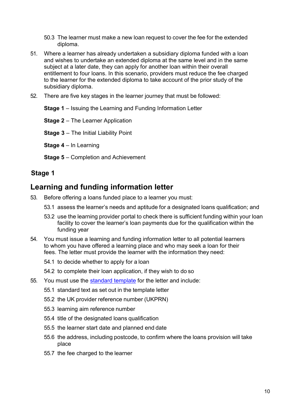- 50.3 The learner must make a new loan request to cover the fee for the extended diploma.
- 51. Where a learner has already undertaken a subsidiary diploma funded with a loan and wishes to undertake an extended diploma at the same level and in the same subject at a later date, they can apply for another loan within their overall entitlement to four loans. In this scenario, providers must reduce the fee charged to the learner for the extended diploma to take account of the prior study of the subsidiary diploma.
- 52. There are five key stages in the learner journey that must be followed:

**Stage 1** – Issuing the Learning and Funding Information Letter

**Stage 2** – The Learner Application

**Stage 3** – The Initial Liability Point

**Stage 4** – In Learning

**Stage 5** – Completion and Achievement

#### **Stage 1**

## <span id="page-9-0"></span>**Learning and funding information letter**

- 53. Before offering a loans funded place to a learner you must:
	- 53.1 assess the learner's needs and aptitude for a designated loans qualification; and
	- 53.2 use the learning provider portal to check there is sufficient funding within your loan facility to cover the learner's loan payments due for the qualification within the funding year
- 54. You must issue a [learning and funding information letter t](https://www.gov.uk/government/publications/24-advanced-learning-loans-funding-information-letter-templates)o all potential learners to whom you have offered a learning place and who may seek a loan for their fees. The letter must provide the learner with the information they need:
	- 54.1 to decide whether to apply for a loan

54.2 to complete their loan application, if they wish to do so

- 55. You must use the [standard template](https://www.gov.uk/guidance/24-advanced-learning-loans-an-overview) for the letter and include:
	- 55.1 standard text as set out in the template letter
	- 55.2 the UK provider reference number (UKPRN)
	- 55.3 learning aim reference number
	- 55.4 title of the designated loans qualification
	- 55.5 the learner start date and planned end date
	- 55.6 the address, including postcode, to confirm where the loans provision will take place
	- 55.7 the fee charged to the learner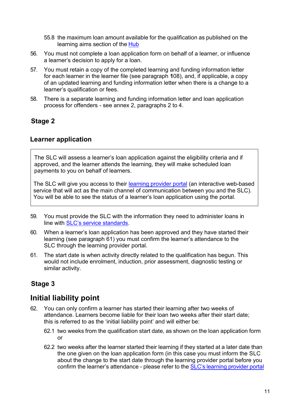- 55.8 the maximum loan amount available for the qualification as published on the learning aims section of the **[Hub](https://hub.fasst.org.uk/Pages/default.aspx)**
- 56. You must not complete a loan application form on behalf of a learner, or influence a learner's decision to apply for a loan.
- 57. You must retain a copy of the completed learning and funding information letter for each learner in the learner file (see paragraph **1**08), and, if applicable, a copy of an updated learning and funding information letter when there is a change to a learner's qualification or fees.
- 58. There is a separate learning and funding information letter and loan application process for offenders - see annex 2, paragraphs 2 to 4.

#### **Stage 2**

#### <span id="page-10-0"></span>**Learner application**

The SLC will assess a learner's loan application against the eligibility criteria and if approved, and the learner attends the learning, they will make scheduled loan payments to you on behalf of learners.

The SLC will give you access to their [learning provider portal](http://www.lpservices.slc.co.uk/) (an interactive web-based service that will act as the main channel of communication between you and the SLC). You will be able to see the status of a learner's loan application using the portal.

- 59. You must provide the SLC with the information they need to administer loans in line with **[SLC's service standards](http://www.lpservices.slc.co.uk/information-and-guidance/service-standard.aspx)**.
- 60. When a learner's loan application has been approved and they have started their learning (see paragraph 61) you must confirm the learner's attendance to the SLC through the learning provider portal.
- 61. The start date is when activity directly related to the qualification has begun. This would not include enrolment, induction, prior assessment, diagnostic testing or similar activity.

## **Stage 3**

## <span id="page-10-1"></span>**Initial liability point**

- 62. You can only confirm a learner has started their learning after two weeks of attendance. Learners become liable for their loan two weeks after their start date; this is referred to as the 'initial liability point' and will either be:
	- 62.1 two weeks from the qualification start date, as shown on the loan application form or
	- 62.2 two weeks after the learner started their learning if they started at a later date than the one given on the loan application form (in this case you must inform the SLC about the change to the start date through the learning provider portal before you confirm the learner's attendance - please refer to the **SLC's [learning](http://www.lpservices.slc.co.uk/support-materials-and-resources/user-guides-and-elearning.aspx) provider portal**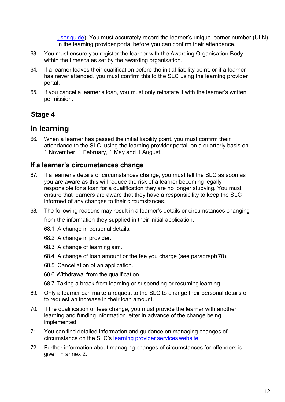[user guide](http://www.lpservices.slc.co.uk/support-materials-and-resources/user-guides-and-elearning.aspx)). You must accurately record the learner's unique learner number (ULN) in the learning provider portal before you can confirm their attendance.

- 63. You must ensure you register the learner with the Awarding Organisation Body within the timescales set by the awarding organisation.
- 64. If a learner leaves their qualification before the initial liability point, or if a learner has never attended, you must confirm this to the SLC using the learning provider portal.
- 65. If you cancel a learner's loan, you must only reinstate it with the learner's written permission.

## **Stage 4**

## <span id="page-11-0"></span>**In learning**

66. When a learner has passed the initial liability point, you must confirm their attendance to the SLC, using the learning provider portal, on a quarterly basis on 1 November, 1 February, 1 May and 1 August.

#### <span id="page-11-1"></span>**If a learner's circumstances change**

- 67. If a learner's details or circumstances change, you must tell the SLC as soon as you are aware as this will reduce the risk of a learner becoming legally responsible for a loan for a qualification they are no longer studying. You must ensure that learners are aware that they have a responsibility to keep the SLC informed of any changes to their circumstances.
- 68. The following reasons may result in a learner's details or circumstances changing from the information they supplied in their initial application.
	- 68.1 A change in personal details.
	- 68.2 A change in provider.
	- 68.3 A change of learning aim.
	- 68.4 A change of loan amount or the fee you charge (see paragraph70).
	- 68.5 Cancellation of an application.
	- 68.6 Withdrawal from the qualification.
	- 68.7 Taking a break from learning or suspending or resuming learning.
- 69. Only a learner can make a request to the SLC to change their personal details or to request an increase in their loan amount.
- 70. If the qualification or fees change, you must provide the learner with another learning and funding information letter in advance of the change being implemented.
- 71. You can find detailed information and guidance on managing changes of circumstance on the SLC's learning provider services [website.](http://www.lpservices.slc.co.uk/)
- 72. Further information about managing changes of circumstances for offenders is given in annex 2.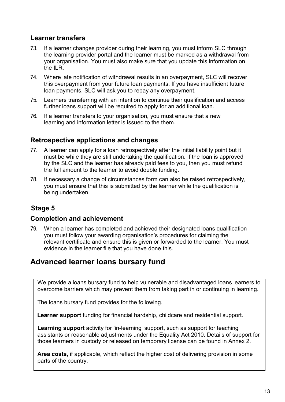#### <span id="page-12-0"></span>**Learner transfers**

- 73. If a learner changes provider during their learning, you must inform SLC through the learning provider portal and the learner must be marked as a withdrawal from your organisation. You must also make sure that you update this information on the ILR.
- 74. Where late notification of withdrawal results in an overpayment, SLC will recover this overpayment from your future loan payments. If you have insufficient future loan payments, SLC will ask you to repay any overpayment.
- 75. Learners transferring with an intention to continue their qualification and access further loans support will be required to apply for an additional loan.
- 76. If a learner transfers to your organisation, you must ensure that a new learning and information letter is issued to the them.

#### <span id="page-12-1"></span>**Retrospective applications and changes**

- 77. A learner can apply for a loan retrospectively after the initial liability point but it must be while they are still undertaking the qualification. If the loan is approved by the SLC and the learner has already paid fees to you, then you must refund the full amount to the learner to avoid double funding.
- 78. If necessary a change of circumstances form can also be raised retrospectively, you must ensure that this is submitted by the learner while the qualification is being undertaken.

## **Stage 5**

#### <span id="page-12-2"></span>**Completion and achievement**

79. When a learner has completed and achieved their designated loans qualification you must follow your awarding organisation's procedures for claiming the relevant certificate and ensure this is given or forwarded to the learner. You must evidence in the learner file that you have done this.

## <span id="page-12-3"></span>**Advanced learner loans bursary fund**

We provide a loans bursary fund to help vulnerable and disadvantaged loans learners to overcome barriers which may prevent them from taking part in or continuing in learning.

The loans bursary fund provides for the following.

**Learner support** funding for financial hardship, childcare and residential support.

**Learning support** activity for 'in-learning' support, such as support for teaching assistants or reasonable adjustments under the Equality Act 2010. Details of support for those learners in custody or released on temporary license can be found in Annex 2.

**Area costs**, if applicable, which reflect the higher cost of delivering provision in some parts of the country.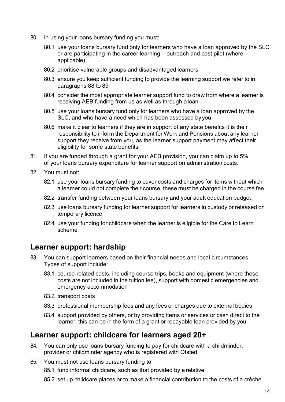- 80. In using your loans bursary funding you must:
	- 80.1 use your loans bursary fund only for learners who have a loan approved by the SLC or are participating in the career learning – outreach and cost pilot (where applicable)
	- 80.2 prioritise vulnerable groups and disadvantaged learners
	- 80.3 ensure you keep sufficient funding to provide the learning support we refer to in paragraphs 88 to 89
	- 80.4 consider the most appropriate learner support fund to draw from where a learner is receiving AEB funding from us as well as through aloan
	- 80.5 use your loans bursary fund only for learners who have a loan approved by the SLC, and who have a need which has been assessed by you
	- 80.6 make it clear to learners if they are in support of any state benefits it is their responsibility to inform the Department for Work and Pensions about any learner support they receive from you, as the learner support payment may affect their eligibility for some state benefits
- 81. If you are funded through a grant for your AEB provision, you can claim up to 5% of your loans bursary expenditure for learner support on administration costs.
- 82. You must not:
	- 82.1 use your loans bursary funding to cover costs and charges for items without which a learner could not complete their course, these must be charged in the course fee
	- 82.2 transfer funding between your loans bursary and your adult education budget
	- 82.3 use loans bursary funding for learner support for learners in custody or released on temporary licence
	- 82.4 use your funding for childcare when the learner is eligible for the Care to Learn scheme

#### <span id="page-13-0"></span>**Learner support: hardship**

- 83. You can support learners based on their financial needs and local circumstances. Types of support include:
	- 83.1 course-related costs, including course trips, books and equipment (where these costs are not included in the tuition fee), support with domestic emergencies and emergency accommodation
	- 83.2 transport costs
	- 83.3 professional membership fees and any fees or charges due to external bodies
	- 83.4 support provided by others, or by providing items or services or cash direct to the learner, this can be in the form of a grant or repayable loan provided by you

#### <span id="page-13-1"></span>**Learner support: childcare for learners aged 20+**

- 84. You can only use loans bursary funding to pay for childcare with a childminder, provider or childminder agency who is registered with Ofsted.
- 85. You must not use loans bursary funding to:
	- 85.1 fund informal childcare, such as that provided by a relative
	- 85.2 set up childcare places or to make a financial contribution to the costs of a crèche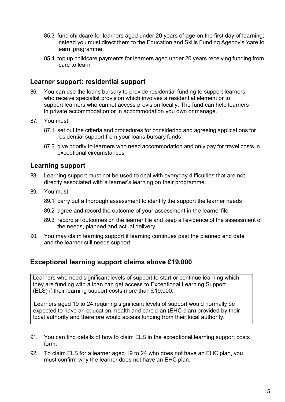- 85.3 fund childcare for learners aged under 20 years of age on the first day of learning; instead you must direct them to the [Education](https://www.gov.uk/guidance/16-to-19-education-financial-support-for-students) and Skills Funding Agency's 'care to learn' programme
- 85.4 top up childcare payments for learners aged under 20 years receiving funding from 'care to learn'

#### <span id="page-14-0"></span>**Learner support: residential support**

- 86. You can use the loans bursary to provide residential funding to support learners who receive specialist provision which involves a residential element or to support learners who cannot access provision locally. The fund can help learners in private accommodation or in accommodation you own or manage.
- 87. You must:
	- 87.1 set out the criteria and procedures for considering and agreeing applications for residential support from your loans bursary funds
	- 87.2 give priority to learners who need accommodation and only pay for travel costs in exceptional circumstances

#### <span id="page-14-1"></span>**Learning support**

- 88. Learning support must not be used to deal with everyday difficulties that are not directly associated with a learner's learning on their programme.
- 89. You must:
	- 89.1 carry out a thorough assessment to identify the support the learner needs
	- 89.2 agree and record the outcome of your assessment in the learnerfile
	- 89.3 record all outcomes on the learner file and keep all evidence of the assessment of the needs, planned and actual delivery
- 90. You may claim learning support if learning continues past the planned end date and the learner still needs support.

#### <span id="page-14-2"></span>**Exceptional learning support claims above £19,000**

Learners who need significant levels of support to start or continue learning which they are funding with a loan can get access to Exceptional Learning Support (ELS) if their learning support costs more than £19,000.

Learners aged 19 to 24 requiring significant levels of support would normally be expected to have an education, health and care plan (EHC plan) provided by their local authority and therefore would access funding from their local authority.

- 91. You can find details of how to claim ELS in the [exceptional learning support costs](https://www.gov.uk/government/publications/sfa-exceptional-learning-support-cost-form) [form.](https://www.gov.uk/government/publications/sfa-exceptional-learning-support-cost-form)
- 92. To claim ELS for a learner aged 19 to 24 who does not have an EHC plan, you must confirm why the learner does not have an EHC plan.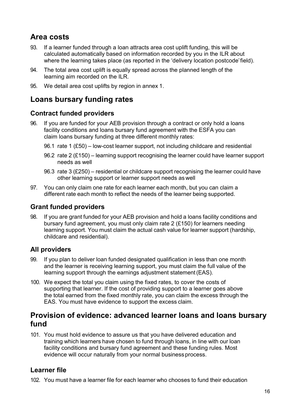## <span id="page-15-0"></span>**Area costs**

- 93. If a learner funded through a loan attracts area cost uplift funding, this will be calculated automatically based on information recorded by you in the [ILR a](https://www.gov.uk/government/collections/individualised-learner-record-ilr)bout where the learning takes place (as reported in the 'delivery location postcode'field).
- 94. The total area cost uplift is equally spread across the planned length of the learning aim recorded on the ILR.
- 95. We detail area cost uplifts by region in annex 1.

## <span id="page-15-1"></span>**Loans bursary funding rates**

#### <span id="page-15-2"></span>**Contract funded providers**

- 96. If you are funded for your AEB provision through a contract or only hold a loans facility conditions and loans bursary fund agreement with the ESFA you can claim loans bursary funding at three different monthly rates:
	- 96.1 rate 1 (£50) low-cost learner support, not including childcare and residential
	- 96.2 rate 2 (£150) learning support recognising the learner could have learner support needs as well
	- 96.3 rate 3 (£250) residential or childcare support recognising the learner could have other learning support or learner support needs as well
- 97. You can only claim one rate for each learner each month, but you can claim a different rate each month to reflect the needs of the learner being supported.

#### <span id="page-15-3"></span>**Grant funded providers**

98. If you are grant funded for your AEB provision and hold a loans facility conditions and bursary fund agreement, you must only claim rate 2 (£150) for learners needing learning support. You must claim the actual cash value for learner support (hardship, childcare and residential).

#### <span id="page-15-4"></span>**All providers**

- 99. If you plan to deliver loan funded designated qualification in less than one month and the learner is receiving learning support, you must claim the full value of the learning support through the earnings adjustment statement (EAS).
- 100. We expect the total you claim using the fixed rates, to cover the costs of supporting that learner. If the cost of providing support to a learner goes above the total earned from the fixed monthly rate, you can claim the excess through the EAS. You must have evidence to support the excess claim.

## <span id="page-15-5"></span>**Provision of evidence: advanced learner loans and loans bursary fund**

101. You must hold evidence to assure us that you have delivered education and training which learners have chosen to fund through loans, in line with our loan facility conditions and bursary fund agreement and these funding rules. Most evidence will occur naturally from your normal business process.

#### <span id="page-15-6"></span>**Learner file**

102. You must have a learner file for each learner who chooses to fund their education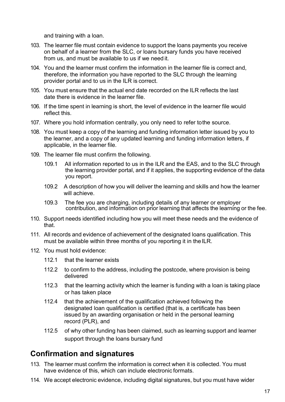and training with a loan.

- 103. The learner file must contain evidence to support the loans payments you receive on behalf of a learner from the SLC, or loans bursary funds you have received from us, and must be available to us if we need it.
- 104. You and the learner must confirm the information in the learner file is correct and, therefore, the information you have reported to the SLC through the learning provider portal and to us in the ILR is correct.
- 105. You must ensure that the actual end date recorded on the ILR reflects the last date there is evidence in the learner file.
- 106. If the time spent in learning is short, the level of evidence in the learner file would reflect this.
- 107. Where you hold information centrally, you only need to refer tothe source.
- 108. You must keep a copy of the learning and funding information letter issued by you to the learner, and a copy of any updated learning and funding information letters, if applicable, in the learner file.
- 109. The learner file must confirm the following.
	- 109.1 All information reported to us in the ILR and the EAS, and to the SLC through the learning provider portal, and if it applies, the supporting evidence of the data you report.
	- 109.2 A description of how you will deliver the learning and skills and how the learner will achieve.
	- 109.3 The fee you are charging, including details of any learner or employer contribution, and information on prior learning that affects the learning or the fee.
- 110. Support needs identified including how you will meet these needs and the evidence of that.
- 111. All records and evidence of achievement of the designated loans qualification. This must be available within three months of you reporting it in the ILR.
- 112. You must hold evidence:
	- 112.1 that the learner exists
	- 112.2 to confirm to the address, including the postcode, where provision is being delivered
	- 112.3 that the learning activity which the learner is funding with a loan is taking place or has taken place
	- 112.4 that the achievement of the qualification achieved following the designated loan qualification is certified (that is, a certificate has been issued by an awarding organisation or held in the personal learning record (PLR), and
	- 112.5 of why other funding has been claimed, such as learning support and learner support through the loans bursary fund

## <span id="page-16-0"></span>**Confirmation and signatures**

- 113. The learner must confirm the information is correct when it is collected. You must have evidence of this, which can include electronic formats.
- 114. We accept electronic evidence, including digital signatures, but you must have wider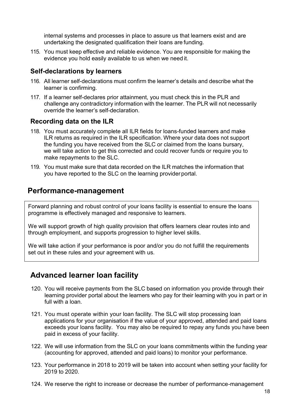internal systems and processes in place to assure us that learners exist and are undertaking the designated qualification their loans are funding.

115. You must keep effective and reliable evidence. You are responsible for making the evidence you hold easily available to us when we need it.

#### <span id="page-17-0"></span>**Self-declarations by learners**

- 116. All learner self-declarations must confirm the learner's details and describe what the learner is confirming.
- 117. If a learner self-declares prior attainment, you must check this in the PLR and challenge any contradictory information with the learner. The PLR will not necessarily override the learner's self-declaration.

#### <span id="page-17-1"></span>**Recording data on the ILR**

- 118. You must accurately complete all ILR fields for loans-funded learners and make ILR returns as required in the ILR [specification.](https://www.gov.uk/government/publications/ilr-specification-validation-rules-and-appendices-2016-to-2017) Where your data does not support the funding you have received from the SLC or claimed from the loans bursary, we will take action to get this corrected and could recover funds or require you to make repayments to the SLC.
- 119. You must make sure that data recorded on the ILR matches the information that you have reported to the SLC on the learning provider portal.

### <span id="page-17-2"></span>**Performance-management**

Forward planning and robust control of your loans facility is essential to ensure the loans programme is effectively managed and responsive to learners.

We will support growth of high quality provision that offers learners clear routes into and through employment, and supports progression to higher level skills.

We will take action if your performance is poor and/or you do not fulfill the requirements set out in these rules and your agreement with us.

## <span id="page-17-3"></span>**Advanced learner loan facility**

- 120. You will receive payments from the SLC based on information you provide through their learning provider portal about the learners who pay for their learning with you in part or in full with a loan.
- 121. You must operate within your loan facility. The SLC will stop processing loan applications for your organisation if the value of your approved, attended and paid loans exceeds your loans facility. You may also be required to repay any funds you have been paid in excess of your facility.
- 122. We will use information from the SLC on your loans commitments within the funding year (accounting for approved, attended and paid loans) to monitor your performance.
- 123. Your performance in 2018 to 2019 will be taken into account when setting your facility for 2019 to 2020.
- 124. We reserve the right to increase or decrease the number of performance-management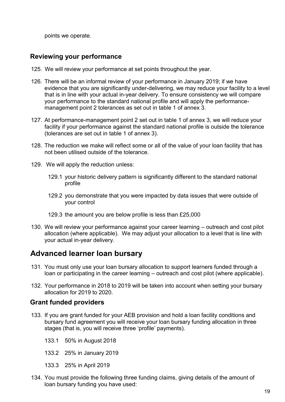points we operate.

#### <span id="page-18-2"></span>**Reviewing your performance**

- 125. We will review your performance at set points throughout the year.
- 126. There will be an informal review of your performance in January 2019; if we have evidence that you are significantly under-delivering, we may reduce your facility to a level that is in line with your actual in-year delivery. To ensure consistency we will compare your performance to the standard national profile and will apply the performancemanagement point 2 tolerances as set out in table 1 of annex 3.
- 127. At performance-management point 2 set out in table 1 of annex 3, we will reduce your facility if your performance against the standard national profile is outside the tolerance (tolerances are set out in table 1 of annex 3).
- 128. The reduction we make will reflect some or all of the value of your loan facility that has not been utilised outside of the tolerance.
- 129. We will apply the reduction unless:
	- 129.1 your historic delivery pattern is significantly different to the standard national profile
	- 129.2 you demonstrate that you were impacted by data issues that were outside of your control
	- 129.3 the amount you are below profile is less than £25,000
- 130. We will review your performance against your career learning outreach and cost pilot allocation (where applicable). We may adjust your allocation to a level that is line with your actual in-year delivery.

## <span id="page-18-0"></span>**Advanced learner loan bursary**

- 131. You must only use your loan bursary allocation to support learners funded through a loan or participating in the career learning – outreach and cost pilot (where applicable).
- 132. Your performance in 2018 to 2019 will be taken into account when setting your bursary allocation for 2019 to 2020.

#### <span id="page-18-1"></span>**Grant funded providers**

- 133. If you are grant funded for your AEB provision and hold a loan facility conditions and bursary fund agreement you will receive your loan bursary funding allocation in three stages (that is, you will receive three 'profile' payments).
	- 133.1 50% in August 2018
	- 133.2 25% in January 2019
	- 133.3 25% in April 2019
- 134. You must provide the following three funding claims, giving details of the amount of loan bursary funding you have used: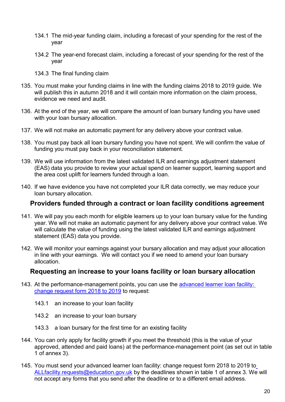- 134.1 The mid-year funding claim, including a forecast of your spending for the rest of the year
- 134.2 The year-end forecast claim, including a forecast of your spending for the rest of the year
- 134.3 The final funding claim
- 135. You must make your funding claims in line with the [funding claims 2018](https://www.gov.uk/government/collections/funding-allocations-and-performance-management-for-providers) to 2019 [guide.](https://www.gov.uk/government/collections/funding-allocations-and-performance-management-for-providers) We will publish this in autumn 2018 and it will contain more information on the claim process, evidence we need and audit.
- 136. At the end of the year, we will compare the amount of loan bursary funding you have used with your loan bursary allocation.
- 137. We will not make an automatic payment for any delivery above your contract value.
- 138. You must pay back all loan bursary funding you have not spent. We will confirm the value of funding you must pay back in your reconciliation statement.
- 139. We will use information from the latest validated ILR and earnings adjustment statement (EAS) data you provide to review your actual spend on learner support, learning support and the area cost uplift for learners funded through a loan.
- 140. If we have evidence you have not completed your ILR data correctly, we may reduce your loan bursary allocation.

#### <span id="page-19-0"></span>**Providers funded through a contract or loan facility conditions agreement**

- 141. We will pay you each month for eligible learners up to your loan bursary value for the funding year. We will not make an automatic payment for any delivery above your contract value. We will calculate the value of funding using the latest validated ILR and earnings adjustment statement (EAS) data you provide.
- 142. We will monitor your earnings against your bursary allocation and may adjust your allocation in line with your earnings. We will contact you if we need to amend your loan bursary allocation.

#### **Requesting an increase to your loans facility or loan bursary allocation**

- 143. At the performance-management points, you can use the [advanced learner loan facility:](https://www.gov.uk/government/publications/24-advanced-learning-loans-facility-adjustment-request-form)  [change request form 2018 t](https://www.gov.uk/government/publications/24-advanced-learning-loans-facility-adjustment-request-form)o 2019 to request:
	- 143.1 an increase to your loan facility
	- 143.2 an increase to your loan bursary
	- 143.3 a loan bursary for the first time for an existing facility
- 144. You can only apply for facility growth if you meet the threshold (this is the value of your approved, attended and paid loans) at the performance-management point (as set out in table 1 of annex 3).
- 145. You must send your advanced learner loan facility: change request form 2018 to 2019 to [ALLfacility.requests@education.gov.uk](mailto:ALLfacility.requests@education.gov.uk) by the deadlines shown in table 1 of annex 3. We will not accept any forms that you send after the deadline or to a different email address.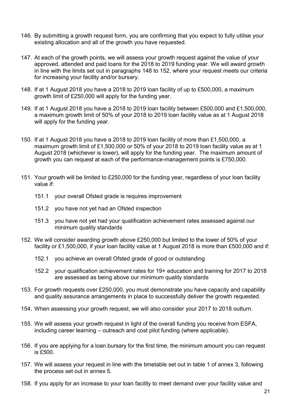- 146. By submitting a growth request form, you are confirming that you expect to fully utilise your existing allocation and all of the growth you have requested.
- 147. At each of the growth points, we will assess your growth request against the value of your approved, attended and paid loans for the 2018 to 2019 funding year. We will award growth in line with the limits set out in paragraphs 148 to 152, where your request meets our criteria for increasing your facility and/or bursary.
- 148. If at 1 August 2018 you have a 2018 to 2019 loan facility of up to £500,000, a maximum growth limit of £250,000 will apply for the funding year.
- 149. If at 1 August 2018 you have a 2018 to 2019 loan facility between £500,000 and £1,500,000, a maximum growth limit of 50% of your 2018 to 2019 loan facility value as at 1 August 2018 will apply for the funding year.
- 150. If at 1 August 2018 you have a 2018 to 2019 loan facility of more than £1,500,000, a maximum growth limit of £1,500,000 or 50% of your 2018 to 2019 loan facility value as at 1 August 2018 (whichever is lower), will apply for the funding year. The maximum amount of growth you can request at each of the performance-management points is £750,000.
- 151. Your growth will be limited to £250,000 for the funding year, regardless of your loan facility value if:
	- 151.1 your overall Ofsted grade is requires improvement
	- 151.2 you have not yet had an Ofsted inspection
	- 151.3 you have not yet had your qualification achievement rates assessed against our minimum quality standards
- 152. We will consider awarding growth above £250,000 but limited to the lower of 50% of your facility or £1,500,000, if your loan facility value at 1 August 2018 is more than £500,000 and if:
	- 152.1 you achieve an overall Ofsted grade of good or outstanding
	- 152.2 your qualification achievement rates for 19+ education and training for 2017 to 2018 are assessed as being above our minimum quality standards
- 153. For growth requests over £250,000, you must demonstrate you have capacity and capability and quality assurance arrangements in place to successfully deliver the growth requested.
- 154. When assessing your growth request, we will also consider your 2017 to 2018 outturn.
- 155. We will assess your growth request in light of the overall funding you receive from ESFA, including career learning – outreach and cost pilot funding (where applicable).
- 156. If you are applying for a loan bursary for the first time, the minimum amount you can request is £500.
- 157. We will assess your request in line with the timetable set out in table 1 of annex 3, following the process set out in annex 5.
- 158. If you apply for an increase to your loan facility to meet demand over your facility value and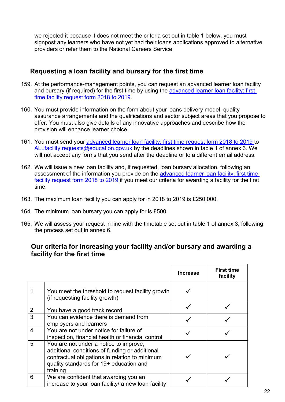we rejected it because it does not meet the criteria set out in table 1 below, you must signpost any learners who have not yet had their loans applications approved to alternative providers or refer them to the National Careers Service.

#### <span id="page-21-0"></span>**Requesting a loan facility and bursary for the first time**

- 159. At the performance-management points, you can request an advanced learner loan facility and bursary (if required) for the first time by using the advanced learner loan facility: first [time facility request form 2018 t](https://www.gov.uk/government/publications/24-advanced-learning-loans-facility-adjustment-request-form)o 2019.
- 160. You must provide information on the form about your loans delivery model, quality assurance arrangements and the qualifications and sector subject areas that you propose to offer. You must also give details of any innovative approaches and describe how the provision will enhance learner choice.
- 161. You must send your [advanced learner loan facility: first time](https://www.gov.uk/government/publications/24-advanced-learning-loans-facility-adjustment-request-form) request form 2018 [to 2019 t](https://www.gov.uk/government/publications/24-advanced-learning-loans-facility-adjustment-request-form)o [ALLfacility.requests@education.gov.uk](mailto:ALLfacility.requests@education.gov.uk) by the deadlines shown in table 1 of annex 3. We will not accept any forms that you send after the deadline or to a different email address.
- 162. We will issue a new loan facility and, if requested, loan bursary allocation, following an assessment of the information you provide on the advanced learner loan facility: first time [facility request form 2018 to 2019](https://www.gov.uk/government/publications/24-advanced-learning-loans-facility-adjustment-request-form) if you meet our criteria for awarding a facility for the first time.
- 163. The maximum loan facility you can apply for in 2018 to 2019 is £250,000.
- 164. The minimum loan bursary you can apply for is £500.
- 165. We will assess your request in line with the timetable set out in table 1 of annex 3, following the process set out in annex 6.

#### **Our criteria for increasing your facility and/or bursary and awarding a facility for the first time**

|                |                                                                                                                                                                                                   | <b>Increase</b> | <b>First time</b><br>facility |
|----------------|---------------------------------------------------------------------------------------------------------------------------------------------------------------------------------------------------|-----------------|-------------------------------|
|                | You meet the threshold to request facility growth<br>(if requesting facility growth)                                                                                                              |                 |                               |
|                | You have a good track record                                                                                                                                                                      |                 |                               |
| 3              | You can evidence there is demand from<br>employers and learners                                                                                                                                   |                 |                               |
| $\overline{4}$ | You are not under notice for failure of<br>inspection, financial health or financial control                                                                                                      |                 |                               |
| 5              | You are not under a notice to improve,<br>additional conditions of funding or additional<br>contractual obligations in relation to minimum<br>quality standards for 19+ education and<br>training |                 |                               |
| 6              | We are confident that awarding you an<br>increase to your loan facility/ a new loan facility                                                                                                      |                 |                               |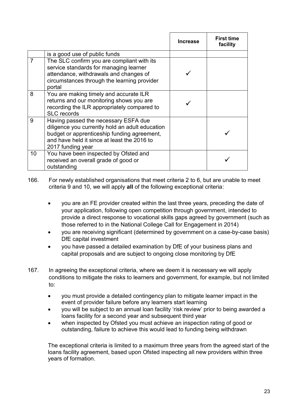|                |                                                                                                                                                                                                            | <b>Increase</b> | <b>First time</b><br>facility |
|----------------|------------------------------------------------------------------------------------------------------------------------------------------------------------------------------------------------------------|-----------------|-------------------------------|
|                | is a good use of public funds                                                                                                                                                                              |                 |                               |
| $\overline{7}$ | The SLC confirm you are compliant with its<br>service standards for managing learner<br>attendance, withdrawals and changes of<br>circumstances through the learning provider<br>portal                    |                 |                               |
| 8              | You are making timely and accurate ILR<br>returns and our monitoring shows you are<br>recording the ILR appropriately compared to<br><b>SLC</b> records                                                    |                 |                               |
| 9              | Having passed the necessary ESFA due<br>diligence you currently hold an adult education<br>budget or apprenticeship funding agreement,<br>and have held it since at least the 2016 to<br>2017 funding year |                 |                               |
| 10             | You have been inspected by Ofsted and<br>received an overall grade of good or<br>outstanding                                                                                                               |                 |                               |

166. For newly established organisations that meet criteria 2 to 6, but are unable to meet criteria 9 and 10, we will apply **all** of the following exceptional criteria:

- you are an FE provider created within the last three years, preceding the date of your application, following open competition through government, intended to provide a direct response to vocational skills gaps agreed by government (such as those referred to in the National College Call for Engagement in 2014)
- you are receiving significant (determined by government on a case-by-case basis) DfE capital investment
- you have passed a detailed examination by DfE of your business plans and capital proposals and are subject to ongoing close monitoring by DfE
- 167. In agreeing the exceptional criteria, where we deem it is necessary we will apply conditions to mitigate the risks to learners and government, for example, but not limited to:
	- you must provide a detailed contingency plan to mitigate learner impact in the event of provider failure before any learners start learning
	- you will be subject to an annual loan facility 'risk review' prior to being awarded a loans facility for a second year and subsequent third year
	- when inspected by Ofsted you must achieve an inspection rating of good or outstanding, failure to achieve this would lead to funding being withdrawn

<span id="page-22-0"></span>The exceptional criteria is limited to a maximum three years from the agreed start of the loans facility agreement, based upon Ofsted inspecting all new providers within three years of formation.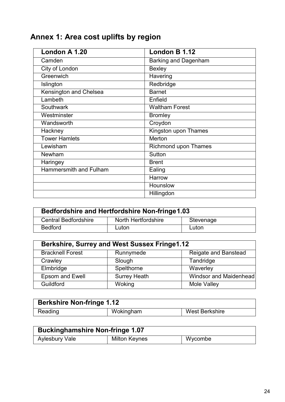# **Annex 1: Area cost uplifts by region**

| London A 1.20                 | London B $1.\overline{12}$  |
|-------------------------------|-----------------------------|
| Camden                        | <b>Barking and Dagenham</b> |
| City of London                | <b>Bexley</b>               |
| Greenwich                     | Havering                    |
| Islington                     | Redbridge                   |
| <b>Kensington and Chelsea</b> | <b>Barnet</b>               |
| Lambeth                       | Enfield                     |
| Southwark                     | <b>Waltham Forest</b>       |
| Westminster                   | <b>Bromley</b>              |
| Wandsworth                    | Croydon                     |
| Hackney                       | Kingston upon Thames        |
| <b>Tower Hamlets</b>          | <b>Merton</b>               |
| Lewisham                      | <b>Richmond upon Thames</b> |
| Newham                        | Sutton                      |
| Haringey                      | <b>Brent</b>                |
| <b>Hammersmith and Fulham</b> | Ealing                      |
|                               | Harrow                      |
|                               | Hounslow                    |
|                               | Hillingdon                  |

| <b>Bedfordshire and Hertfordshire Non-fringe 1.03</b> |                     |           |
|-------------------------------------------------------|---------------------|-----------|
| <b>Central Bedfordshire</b>                           | North Hertfordshire | Stevenage |
| <b>Bedford</b>                                        | Luton               | Luton     |

| <b>Berkshire, Surrey and West Sussex Fringe1.12</b> |                     |                        |
|-----------------------------------------------------|---------------------|------------------------|
| <b>Bracknell Forest</b>                             | Runnymede           | Reigate and Banstead   |
| Crawley                                             | Slough              | Tandridge              |
| Elmbridge                                           | Spelthorne          | Waverley               |
| <b>Epsom and Ewell</b>                              | <b>Surrey Heath</b> | Windsor and Maidenhead |
| Guildford                                           | Woking              | Mole Valley            |

| <b>Berkshire Non-fringe 1.12</b> |           |                |
|----------------------------------|-----------|----------------|
| Reading                          | Wokingham | West Berkshire |

| <b>Buckinghamshire Non-fringe 1.07</b> |                      |         |
|----------------------------------------|----------------------|---------|
| <b>Aylesbury Vale</b>                  | <b>Milton Keynes</b> | Wycombe |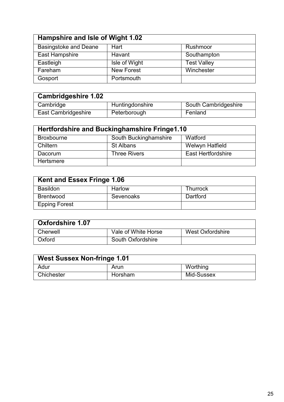| Hampshire and Isle of Wight 1.02 |                   |                    |
|----------------------------------|-------------------|--------------------|
| <b>Basingstoke and Deane</b>     | Hart              | Rushmoor           |
| East Hampshire                   | Havant            | Southampton        |
| Eastleigh                        | Isle of Wight     | <b>Test Valley</b> |
| Fareham                          | <b>New Forest</b> | Winchester         |
| Gosport                          | Portsmouth        |                    |

| <b>Cambridgeshire 1.02</b> |                 |                      |
|----------------------------|-----------------|----------------------|
| Cambridge                  | Huntingdonshire | South Cambridgeshire |
| East Cambridgeshire        | Peterborough    | Fenland              |

| Hertfordshire and Buckinghamshire Fringe1.10 |                       |                           |
|----------------------------------------------|-----------------------|---------------------------|
| <b>Broxbourne</b>                            | South Buckinghamshire | Watford                   |
| Chiltern                                     | St Albans             | Welwyn Hatfield           |
| Dacorum                                      | <b>Three Rivers</b>   | <b>East Hertfordshire</b> |
| Hertsmere                                    |                       |                           |

| <b>Kent and Essex Fringe 1.06</b> |                  |          |  |  |  |  |
|-----------------------------------|------------------|----------|--|--|--|--|
| <b>Basildon</b>                   | Harlow           | Thurrock |  |  |  |  |
| <b>Brentwood</b>                  | <b>Sevenoaks</b> | Dartford |  |  |  |  |
| <b>Epping Forest</b>              |                  |          |  |  |  |  |

| <b>Oxfordshire 1.07</b> |                     |                  |
|-------------------------|---------------------|------------------|
| Cherwell                | Vale of White Horse | West Oxfordshire |
| Oxford                  | South Oxfordshire   |                  |

| <b>West Sussex Non-fringe 1.01</b> |         |            |  |
|------------------------------------|---------|------------|--|
| Adur                               | Arun    | Worthing   |  |
| Chichester                         | Horsham | Mid-Sussex |  |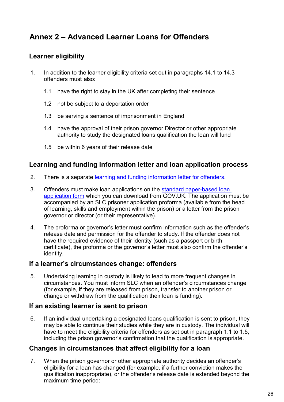## <span id="page-25-0"></span>**Annex 2 – Advanced Learner Loans for Offenders**

#### <span id="page-25-1"></span>**Learner eligibility**

- 1. In addition to the learner eligibility criteria set out in paragraphs 14.1 to 14.3 offenders must also:
	- 1.1 have the right to stay in the UK after completing their sentence
	- 1.2 not be subject to a deportation order
	- 1.3 be serving a sentence of imprisonment in England
	- 1.4 have the approval of their prison governor Director or other appropriate authority to study the designated loans qualification the loan will fund
	- 1.5 be within 6 years of their release date

#### <span id="page-25-2"></span>**Learning and funding information letter and loan application process**

- 2. There is a separate [learning and funding information letter for](https://www.gov.uk/government/publications/24-advanced-learning-loans-offenders-in-custody) offenders.
- 3. Offenders must make loan applications on the [standard paper-based loan](https://www.gov.uk/advanced-learner-loan/how-to-apply) [application form](https://www.gov.uk/advanced-learner-loan/how-to-apply) which you can download from [GOV.UK.](https://www.gov.uk/advanced-learner-loan/how-to-apply) The application must be accompanied by an SLC prisoner application proforma (available from the head of learning, skills and employment within the prison) or a letter from the prison governor or director (or their representative).
- 4. The proforma or governor's letter must confirm information such as the offender's release date and permission for the offender to study. If the offender does not have the required evidence of their identity (such as a passport or birth certificate), the proforma or the governor's letter must also confirm the offender's identity.

#### <span id="page-25-3"></span>**If a learner's circumstances change: offenders**

5. Undertaking learning in custody is likely to lead to more frequent changes in circumstances. You must inform SLC when an offender's circumstances change (for example, if they are released from prison, transfer to another prison or change or withdraw from the qualification their loan is funding).

#### <span id="page-25-4"></span>**If an existing learner is sent to prison**

6. If an individual undertaking a designated loans qualification is sent to prison, they may be able to continue their studies while they are in custody. The individual will have to meet the eligibility criteria for offenders as set out in paragraph 1.1 to 1.5, including the prison governor's confirmation that the qualification is appropriate.

#### <span id="page-25-5"></span>**Changes in circumstances that affect eligibility for a loan**

7. When the prison governor or other appropriate authority decides an offender's eligibility for a loan has changed (for example, if a further conviction makes the qualification inappropriate), or the offender's release date is extended beyond the maximum time period: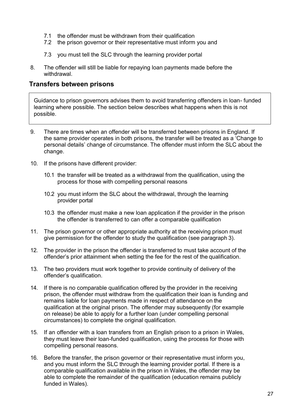- 7.1 the offender must be withdrawn from their qualification
- 7.2 the prison governor or their representative must inform you and
- 7.3 you must tell the SLC through the [learning provider](http://www.lpservices.slc.co.uk/) portal
- 8. The offender will still be liable for repaying loan payments made before the withdrawal.

#### <span id="page-26-0"></span>**Transfers between prisons**

Guidance to prison governors advises them to avoid transferring offenders in loan- funded learning where possible. The section below describes what happens when this is not possible.

- 9. There are times when an offender will be transferred between prisons in England. If the same provider operates in both prisons, the transfer will be treated as a 'Change to personal details' change of circumstance. The offender must inform the SLC about the change.
- 10. If the prisons have different provider:
	- 10.1 the transfer will be treated as a withdrawal from the qualification, using the process for those with compelling personal reasons
	- 10.2 you must inform the SLC about the withdrawal, through the learning provider portal
	- 10.3 the offender must make a new loan application if the provider in the prison the offender is transferred to can offer a comparable qualification
- 11. The prison governor or other appropriate authority at the receiving prison must give permission for the offender to study the qualification (see paragraph 3).
- 12. The provider in the prison the offender is transferred to must take account of the offender's prior attainment when setting the fee for the rest of the qualification.
- 13. The two providers must work together to provide continuity of delivery of the offender's qualification.
- 14. If there is no comparable qualification offered by the provider in the receiving prison, the offender must withdraw from the qualification their loan is funding and remains liable for loan payments made in respect of attendance on the qualification at the original prison. The offender may subsequently (for example on release) be able to apply for a further loan (under compelling personal circumstances) to complete the original qualification.
- 15. If an offender with a loan transfers from an English prison to a prison in Wales, they must leave their loan-funded qualification, using the process for those with compelling personal reasons.
- 16. Before the transfer, the prison governor or their representative must inform you, and you must inform the SLC through the learning provider portal. If there is a comparable qualification available in the prison in Wales, the offender may be able to complete the remainder of the qualification (education remains publicly funded in Wales).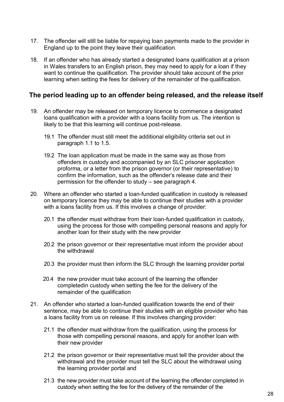- 17. The offender will still be liable for repaying loan payments made to the provider in England up to the point they leave their qualification.
- 18. If an offender who has already started a designated loans qualification at a prison in Wales transfers to an English prison, they may need to apply for a loan if they want to continue the qualification. The provider should take account of the prior learning when setting the fees for delivery of the remainder of the qualification.

#### <span id="page-27-0"></span>**The period leading up to an offender being released, and the release itself**

- 19. An offender may be released on temporary licence to commence a designated loans qualification with a provider with a loans facility from us. The intention is likely to be that this learning will continue post-release.
	- 19.1 The offender must still meet the additional eligibility criteria set out in paragraph 1.1 to 1.5.
	- 19.2 The loan application must be made in the same way as those from offenders in custody and accompanied by an SLC prisoner application proforma, or a letter from the prison governor (or their representative) to confirm the information, such as the offender's release date and their permission for the offender to study – see paragraph 4.
- 20. Where an offender who started a loan-funded qualification in custody is released on temporary licence they may be able to continue their studies with a provider with a loans facility from us. If this involves a change of provider:
	- 20.1 the offender must withdraw from their loan-funded qualification in custody, using the process for those with compelling personal reasons and apply for another loan for their study with the new provider
	- 20.2 the prison governor or their representative must inform the provider about the withdrawal
	- 20.3 the provider must then inform the SLC through the learning provider portal
	- 20.4 the new provider must take account of the learning the offender completedin custody when setting the fee for the delivery of the remainder of the qualification
- 21. An offender who started a loan-funded qualification towards the end of their sentence, may be able to continue their studies with an eligible provider who has a loans facility from us on release. If this involves changing provider:
	- 21.1 the offender must withdraw from the qualification, using the process for those with compelling personal reasons, and apply for another loan with their new provider
	- 21.2 the prison governor or their representative must tell the provider about the withdrawal and the provider must tell the SLC about the withdrawal using the learning provider portal and
	- 21.3 the new provider must take account of the learning the offender completed in custody when setting the fee for the delivery of the remainder of the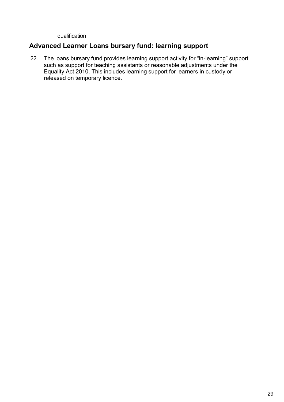qualification

#### <span id="page-28-0"></span>**Advanced Learner Loans bursary fund: learning support**

22. The loans bursary fund provides learning support activity for "in-learning" support such as support for teaching assistants or reasonable adjustments under the Equality Act 2010. This includes learning support for learners in custody or released on temporary licence.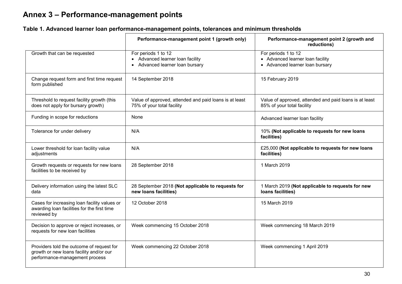## **Annex 3 – Performance-management points**

<span id="page-29-0"></span>

|                                                                                                                        | Performance-management point 1 (growth only)                                               | Performance-management point 2 (growth and<br>reductions)                                  |  |  |
|------------------------------------------------------------------------------------------------------------------------|--------------------------------------------------------------------------------------------|--------------------------------------------------------------------------------------------|--|--|
| Growth that can be requested                                                                                           | For periods 1 to 12<br>• Advanced learner loan facility<br>• Advanced learner loan bursary | For periods 1 to 12<br>• Advanced learner loan facility<br>• Advanced learner loan bursary |  |  |
| Change request form and first time request<br>form published                                                           | 14 September 2018                                                                          | 15 February 2019                                                                           |  |  |
| Threshold to request facility growth (this<br>does not apply for bursary growth)                                       | Value of approved, attended and paid loans is at least<br>75% of your total facility       | Value of approved, attended and paid loans is at least<br>85% of your total facility       |  |  |
| Funding in scope for reductions                                                                                        | None                                                                                       | Advanced learner loan facility                                                             |  |  |
| Tolerance for under delivery                                                                                           | N/A                                                                                        | 10% (Not applicable to requests for new loans<br>facilities)                               |  |  |
| Lower threshold for loan facility value<br>adjustments                                                                 | N/A                                                                                        | £25,000 (Not applicable to requests for new loans<br>facilities)                           |  |  |
| Growth requests or requests for new loans<br>facilities to be received by                                              | 28 September 2018                                                                          | 1 March 2019                                                                               |  |  |
| Delivery information using the latest SLC<br>data                                                                      | 28 September 2018 (Not applicable to requests for<br>new loans facilities)                 | 1 March 2019 (Not applicable to requests for new<br>Ioans facilities)                      |  |  |
| Cases for increasing loan facility values or<br>awarding loan facilities for the first time<br>reviewed by             | 12 October 2018                                                                            | 15 March 2019                                                                              |  |  |
| Decision to approve or reject increases, or<br>requests for new loan facilities                                        | Week commencing 15 October 2018                                                            | Week commencing 18 March 2019                                                              |  |  |
| Providers told the outcome of request for<br>growth or new loans facility and/or our<br>performance-management process | Week commencing 22 October 2018                                                            | Week commencing 1 April 2019                                                               |  |  |

#### **Table 1. Advanced learner loan performance-management points, tolerances and minimum thresholds**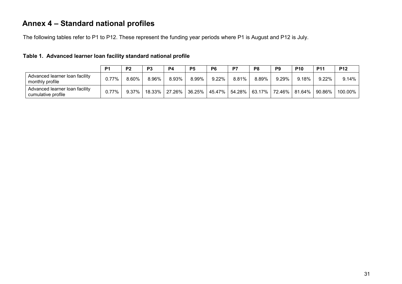## **Annex 4 – Standard national profiles**

The following tables refer to P1 to P12. These represent the funding year periods where P1 is August and P12 is July.

<span id="page-30-0"></span>

|                                                      | P <sub>1</sub> | P <sub>2</sub> | P <sub>3</sub> | P4    | P <sub>5</sub> | P <sub>6</sub> | D7    | P8    | P <sub>9</sub> | <b>P10</b> | <b>P11</b>                                                            | <b>P12</b> |
|------------------------------------------------------|----------------|----------------|----------------|-------|----------------|----------------|-------|-------|----------------|------------|-----------------------------------------------------------------------|------------|
| Advanced learner loan facility<br>monthly profile    | 0.77%          | 8.60%          | 8.96%          | 8.93% | 8.99%          | $9.22\%$       | 8.81% | 8.89% | $9.29\%$       | 9.18%      | 9.22%                                                                 | 9.14%      |
| Advanced learner loan facility<br>cumulative profile | $0.77\%$       | $9.37\%$       | 18.33%丨        |       |                |                |       |       |                |            | 27.26%   36.25%   45.47%   54.28%   63.17%   72.46%   81.64%   90.86% | 100.00%    |

#### **Table 1. Advanced learner loan facility standard national profile**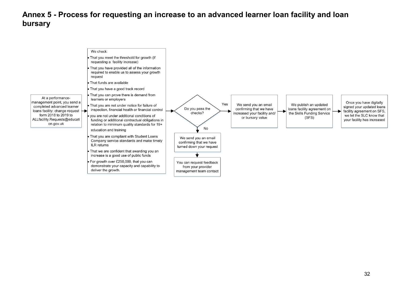## **Annex 5 - Process for requesting an increase to an advanced learner loan facility and loan bursary**

<span id="page-31-0"></span>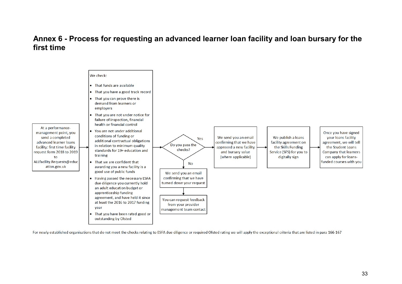#### **Annex 6 - Process for requesting an advanced learner loan facility and loan bursary for the first time**



<span id="page-32-0"></span>For newly established organisations that do not meet the checks relating to ESFA due diligence or required Ofsted rating we will apply the exceptional criteria that are listed in para 166-167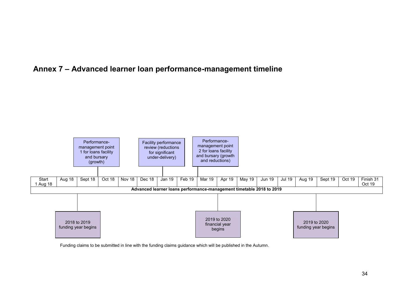## **Annex 7 – Advanced learner loan performance-management timeline**

<span id="page-33-0"></span>

Funding claims to be submitted in line with the funding claims guidance which will be published in the Autumn.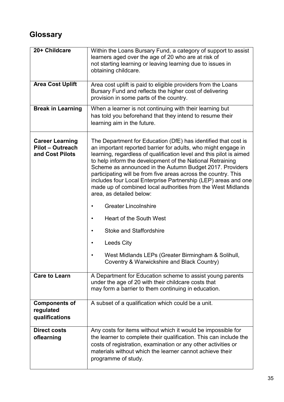## <span id="page-34-0"></span>**Glossary**

| 20+ Childcare                                                        | Within the Loans Bursary Fund, a category of support to assist<br>learners aged over the age of 20 who are at risk of<br>not starting learning or leaving learning due to issues in<br>obtaining childcare.                                                                                                                                                                                                                                                                                                                                                                                                                                                                                                                                                                                 |
|----------------------------------------------------------------------|---------------------------------------------------------------------------------------------------------------------------------------------------------------------------------------------------------------------------------------------------------------------------------------------------------------------------------------------------------------------------------------------------------------------------------------------------------------------------------------------------------------------------------------------------------------------------------------------------------------------------------------------------------------------------------------------------------------------------------------------------------------------------------------------|
| <b>Area Cost Uplift</b>                                              | Area cost uplift is paid to eligible providers from the Loans<br>Bursary Fund and reflects the higher cost of delivering<br>provision in some parts of the country.                                                                                                                                                                                                                                                                                                                                                                                                                                                                                                                                                                                                                         |
| <b>Break in Learning</b>                                             | When a learner is not continuing with their learning but<br>has told you beforehand that they intend to resume their<br>learning aim in the future.                                                                                                                                                                                                                                                                                                                                                                                                                                                                                                                                                                                                                                         |
| <b>Career Learning</b><br><b>Pilot - Outreach</b><br>and Cost Pilots | The Department for Education (DfE) has identified that cost is<br>an important reported barrier for adults, who might engage in<br>learning, regardless of qualification level and this pilot is aimed<br>to help inform the development of the National Retraining<br>Scheme as announced in the Autumn Budget 2017. Providers<br>participating will be from five areas across the country. This<br>includes four Local Enterprise Partnership (LEP) areas and one<br>made up of combined local authorities from the West Midlands<br>area, as detailed below:<br><b>Greater Lincolnshire</b><br><b>Heart of the South West</b><br><b>Stoke and Staffordshire</b><br><b>Leeds City</b><br>West Midlands LEPs (Greater Birmingham & Solihull,<br>Coventry & Warwickshire and Black Country) |
| <b>Care to Learn</b>                                                 | A Department for Education scheme to assist young parents<br>under the age of 20 with their childcare costs that<br>may form a barrier to them continuing in education.                                                                                                                                                                                                                                                                                                                                                                                                                                                                                                                                                                                                                     |
| <b>Components of</b><br>regulated<br>qualifications                  | A subset of a qualification which could be a unit.                                                                                                                                                                                                                                                                                                                                                                                                                                                                                                                                                                                                                                                                                                                                          |
| <b>Direct costs</b><br>oflearning                                    | Any costs for items without which it would be impossible for<br>the learner to complete their qualification. This can include the<br>costs of registration, examination or any other activities or<br>materials without which the learner cannot achieve their<br>programme of study.                                                                                                                                                                                                                                                                                                                                                                                                                                                                                                       |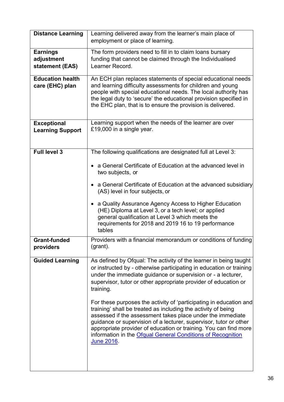| <b>Distance Learning</b>                         | Learning delivered away from the learner's main place of<br>employment or place of learning.                                                                                                                                                                                                                                                                                                                            |
|--------------------------------------------------|-------------------------------------------------------------------------------------------------------------------------------------------------------------------------------------------------------------------------------------------------------------------------------------------------------------------------------------------------------------------------------------------------------------------------|
| <b>Earnings</b><br>adjustment<br>statement (EAS) | The form providers need to fill in to claim loans bursary<br>funding that cannot be claimed through the Individualised<br>Learner Record.                                                                                                                                                                                                                                                                               |
| <b>Education health</b><br>care (EHC) plan       | An ECH plan replaces statements of special educational needs<br>and learning difficulty assessments for children and young<br>people with special educational needs. The local authority has<br>the legal duty to 'secure' the educational provision specified in<br>the EHC plan, that is to ensure the provision is delivered.                                                                                        |
| <b>Exceptional</b><br><b>Learning Support</b>    | Learning support when the needs of the learner are over<br>£19,000 in a single year.                                                                                                                                                                                                                                                                                                                                    |
| <b>Full level 3</b>                              | The following qualifications are designated full at Level 3:                                                                                                                                                                                                                                                                                                                                                            |
|                                                  | a General Certificate of Education at the advanced level in<br>two subjects, or                                                                                                                                                                                                                                                                                                                                         |
|                                                  | a General Certificate of Education at the advanced subsidiary<br>(AS) level in four subjects, or                                                                                                                                                                                                                                                                                                                        |
|                                                  | a Quality Assurance Agency Access to Higher Education<br>(HE) Diploma at Level 3, or a tech level; or applied<br>general qualification at Level 3 which meets the<br>requirements for 2018 and 2019 16 to 19 performance<br>tables                                                                                                                                                                                      |
| <b>Grant-funded</b><br>providers                 | Providers with a financial memorandum or conditions of funding<br>(grant).                                                                                                                                                                                                                                                                                                                                              |
| <b>Guided Learning</b>                           | As defined by Ofqual: The activity of the learner in being taught<br>or instructed by - otherwise participating in education or training<br>under the immediate guidance or supervision or - a lecturer,<br>supervisor, tutor or other appropriate provider of education or<br>training.                                                                                                                                |
|                                                  | For these purposes the activity of 'participating in education and<br>training' shall be treated as including the activity of being<br>assessed if the assessment takes place under the immediate<br>guidance or supervision of a lecturer, supervisor, tutor or other<br>appropriate provider of education or training. You can find more<br>information in the Ofqual General Conditions of Recognition<br>June 2016. |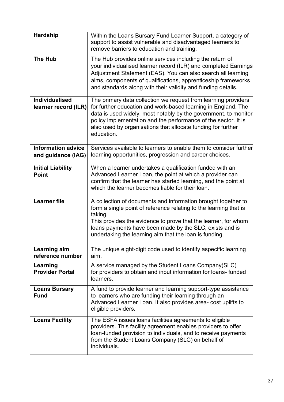| <b>Hardship</b>                                 | Within the Loans Bursary Fund Learner Support, a category of<br>support to assist vulnerable and disadvantaged learners to<br>remove barriers to education and training.                                                                                                                                                                           |
|-------------------------------------------------|----------------------------------------------------------------------------------------------------------------------------------------------------------------------------------------------------------------------------------------------------------------------------------------------------------------------------------------------------|
| <b>The Hub</b>                                  | The Hub provides online services including the return of<br>your individualised learner record (ILR) and completed Earnings<br>Adjustment Statement (EAS). You can also search all learning<br>aims, components of qualifications, apprenticeship frameworks<br>and standards along with their validity and funding details.                       |
| <b>Individualised</b><br>learner record (ILR)   | The primary data collection we request from learning providers<br>for further education and work-based learning in England. The<br>data is used widely, most notably by the government, to monitor<br>policy implementation and the performance of the sector. It is<br>also used by organisations that allocate funding for further<br>education. |
| <b>Information advice</b><br>and guidance (IAG) | Services available to learners to enable them to consider further<br>learning opportunities, progression and career choices.                                                                                                                                                                                                                       |
| <b>Initial Liability</b><br><b>Point</b>        | When a learner undertakes a qualification funded with an<br>Advanced Learner Loan, the point at which a provider can<br>confirm that the learner has started learning, and the point at<br>which the learner becomes liable for their loan.                                                                                                        |
| <b>Learner file</b>                             | A collection of documents and information brought together to<br>form a single point of reference relating to the learning that is<br>taking.<br>This provides the evidence to prove that the learner, for whom<br>loans payments have been made by the SLC, exists and is<br>undertaking the learning aim that the loan is funding.               |
| Learning aim<br>reference number                | The unique eight-digit code used to identify aspecific learning<br>aim.                                                                                                                                                                                                                                                                            |
| Learning<br><b>Provider Portal</b>              | A service managed by the Student Loans Company (SLC)<br>for providers to obtain and input information for loans- funded<br>learners.                                                                                                                                                                                                               |
| <b>Loans Bursary</b><br><b>Fund</b>             | A fund to provide learner and learning support-type assistance<br>to learners who are funding their learning through an<br>Advanced Learner Loan. It also provides area- cost uplifts to<br>eligible providers.                                                                                                                                    |
| <b>Loans Facility</b>                           | The ESFA issues loans facilities agreements to eligible<br>providers. This facility agreement enables providers to offer<br>loan-funded provision to individuals, and to receive payments<br>from the Student Loans Company (SLC) on behalf of<br>individuals.                                                                                     |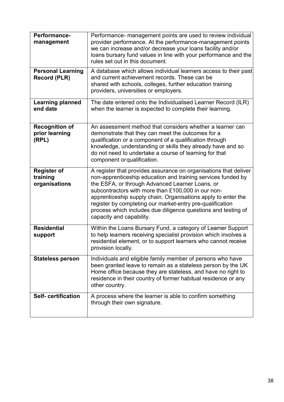| Performance-<br>management                       | Performance- management points are used to review individual<br>provider performance. At the performance-management points<br>we can increase and/or decrease your loans facility and/or<br>loans bursary fund values in line with your performance and the<br>rules set out in this document.                                                                                                                                                                       |
|--------------------------------------------------|----------------------------------------------------------------------------------------------------------------------------------------------------------------------------------------------------------------------------------------------------------------------------------------------------------------------------------------------------------------------------------------------------------------------------------------------------------------------|
| <b>Personal Learning</b><br><b>Record (PLR)</b>  | A database which allows individual learners access to their past<br>and current achievement records. These can be<br>shared with schools, colleges, further education training<br>providers, universities or employers.                                                                                                                                                                                                                                              |
| <b>Learning planned</b><br>end date              | The date entered onto the Individualised Learner Record (ILR)<br>when the learner is expected to complete their learning.                                                                                                                                                                                                                                                                                                                                            |
| <b>Recognition of</b><br>prior learning<br>(RPL) | An assessment method that considers whether a learner can<br>demonstrate that they can meet the outcomes for a<br>qualification or a component of a qualification through<br>knowledge, understanding or skills they already have and so<br>do not need to undertake a course of learning for that<br>component or qualification.                                                                                                                                    |
| <b>Register of</b><br>training<br>organisations  | A register that provides assurance on organisations that deliver<br>non-apprenticeship education and training services funded by<br>the ESFA, or through Advanced Learner Loans, or<br>subcontractors with more than £100,000 in our non-<br>apprenticeship supply chain. Organisations apply to enter the<br>register by completing our market-entry pre-qualification<br>process which includes due diligence questions and testing of<br>capacity and capability. |
| <b>Residential</b><br>support                    | Within the Loans Bursary Fund, a category of Learner Support<br>to help learners receiving specialist provision which involves a<br>residential element, or to support learners who cannot receive<br>provision locally.                                                                                                                                                                                                                                             |
| <b>Stateless person</b>                          | Individuals and eligible family member of persons who have<br>been granted leave to remain as a stateless person by the UK<br>Home office because they are stateless, and have no right to<br>residence in their country of former habitual residence or any<br>other country.                                                                                                                                                                                       |
| <b>Self-certification</b>                        | A process where the learner is able to confirm something<br>through their own signature.                                                                                                                                                                                                                                                                                                                                                                             |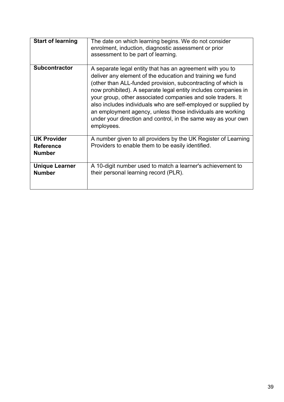| <b>Start of learning</b>                                | The date on which learning begins. We do not consider<br>enrolment, induction, diagnostic assessment or prior<br>assessment to be part of learning.                                                                                                                                                                                                                                                                                                                                                                                    |
|---------------------------------------------------------|----------------------------------------------------------------------------------------------------------------------------------------------------------------------------------------------------------------------------------------------------------------------------------------------------------------------------------------------------------------------------------------------------------------------------------------------------------------------------------------------------------------------------------------|
| <b>Subcontractor</b>                                    | A separate legal entity that has an agreement with you to<br>deliver any element of the education and training we fund<br>(other than ALL-funded provision, subcontracting of which is<br>now prohibited). A separate legal entity includes companies in<br>your group, other associated companies and sole traders. It<br>also includes individuals who are self-employed or supplied by<br>an employment agency, unless those individuals are working<br>under your direction and control, in the same way as your own<br>employees. |
| <b>UK Provider</b><br><b>Reference</b><br><b>Number</b> | A number given to all providers by the UK Register of Learning<br>Providers to enable them to be easily identified.                                                                                                                                                                                                                                                                                                                                                                                                                    |
| <b>Unique Learner</b><br><b>Number</b>                  | A 10-digit number used to match a learner's achievement to<br>their personal learning record (PLR).                                                                                                                                                                                                                                                                                                                                                                                                                                    |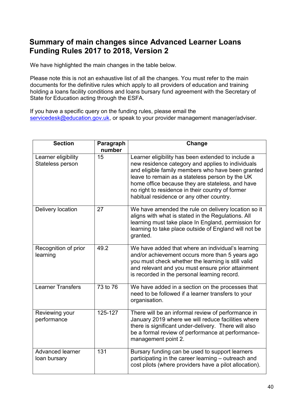## <span id="page-39-0"></span>**Summary of main changes since Advanced Learner Loans Funding Rules 2017 to 2018, Version 2**

We have highlighted the main changes in the table below.

Please note this is not an exhaustive list of all the changes. You must refer to the main documents for the definitive rules which apply to all providers of education and training holding a loans facility conditions and loans bursary fund agreement with the Secretary of State for Education acting through the ESFA.

If you have a specific query on the funding rules, please email the [servicedesk@education.gov.uk,](mailto:servicedesk@education.gov.uk) or speak to your provider management manager/adviser.

| <b>Section</b>                          | Paragraph<br>number   | Change                                                                                                                                                                                                                                                                                                                                                              |
|-----------------------------------------|-----------------------|---------------------------------------------------------------------------------------------------------------------------------------------------------------------------------------------------------------------------------------------------------------------------------------------------------------------------------------------------------------------|
| Learner eligibility<br>Stateless person | 15                    | Learner eligibility has been extended to include a<br>new residence category and applies to individuals<br>and eligible family members who have been granted<br>leave to remain as a stateless person by the UK<br>home office because they are stateless, and have<br>no right to residence in their country of former<br>habitual residence or any other country. |
| Delivery location                       | 27                    | We have amended the rule on delivery location so it<br>aligns with what is stated in the Regulations. All<br>learning must take place In England, permission for<br>learning to take place outside of England will not be<br>granted.                                                                                                                               |
| Recognition of prior<br>learning        | 49.2                  | We have added that where an individual's learning<br>and/or achievement occurs more than 5 years ago<br>you must check whether the learning is still valid<br>and relevant and you must ensure prior attainment<br>is recorded in the personal learning record.                                                                                                     |
| <b>Learner Transfers</b>                | 73 to $\overline{76}$ | We have added in a section on the processes that<br>need to be followed if a learner transfers to your<br>organisation.                                                                                                                                                                                                                                             |
| Reviewing your<br>performance           | 125-127               | There will be an informal review of performance in<br>January 2019 where we will reduce facilities where<br>there is significant under-delivery. There will also<br>be a formal review of performance at performance-<br>management point 2.                                                                                                                        |
| <b>Advanced learner</b><br>loan bursary | 131                   | Bursary funding can be used to support learners<br>participating in the career learning - outreach and<br>cost pilots (where providers have a pilot allocation).                                                                                                                                                                                                    |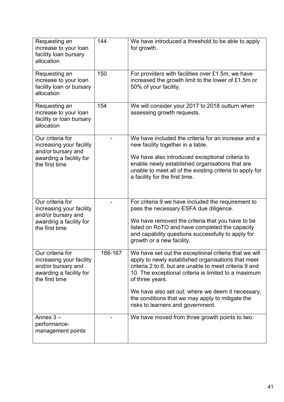| Requesting an<br>increase to your loan<br>facility loan bursary<br>allocation                                   | 144     | We have introduced a threshold to be able to apply<br>for growth.                                                                                                                                                                                                                                                                                                                              |
|-----------------------------------------------------------------------------------------------------------------|---------|------------------------------------------------------------------------------------------------------------------------------------------------------------------------------------------------------------------------------------------------------------------------------------------------------------------------------------------------------------------------------------------------|
| Requesting an<br>increase to your loan<br>facility loan or bursary<br>allocation                                | 150     | For providers with facilities over £1.5m, we have<br>increased the growth limit to the lower of £1.5m or<br>50% of your facility.                                                                                                                                                                                                                                                              |
| Requesting an<br>increase to your loan<br>facility or loan bursary<br>allocation                                | 154     | We will consider your 2017 to 2018 outturn when<br>assessing growth requests.                                                                                                                                                                                                                                                                                                                  |
| Our criteria for<br>increasing your facility<br>and/or bursary and<br>awarding a facility for<br>the first time |         | We have included the criteria for an increase and a<br>new facility together in a table.<br>We have also introduced exceptional criteria to<br>enable newly established organisations that are<br>unable to meet all of the existing criteria to apply for<br>a facility for the first time.                                                                                                   |
| Our criteria for<br>increasing your facility<br>and/or bursary and<br>awarding a facility for<br>the first time |         | For criteria 9 we have included the requirement to<br>pass the necessary ESFA due diligence.<br>We have removed the criteria that you have to be<br>listed on RoTO and have completed the capacity<br>and capability questions successfully to apply for<br>growth or a new facility.                                                                                                          |
| Our criteria for<br>increasing your facility<br>and/or bursary and<br>awarding a facility for<br>the first time | 166-167 | We have set out the exceptional criteria that we will<br>apply to newly established organisations that meet<br>criteria 2 to 6, but are unable to meet criteria 9 and<br>10. The exceptional criteria is limited to a maximum<br>of three years.<br>We have also set out; where we deem it necessary,<br>the conditions that we may apply to mitigate the<br>risks to learners and government. |
| Annex $3 -$<br>performance-<br>management points                                                                |         | We have moved from three growth points to two.                                                                                                                                                                                                                                                                                                                                                 |